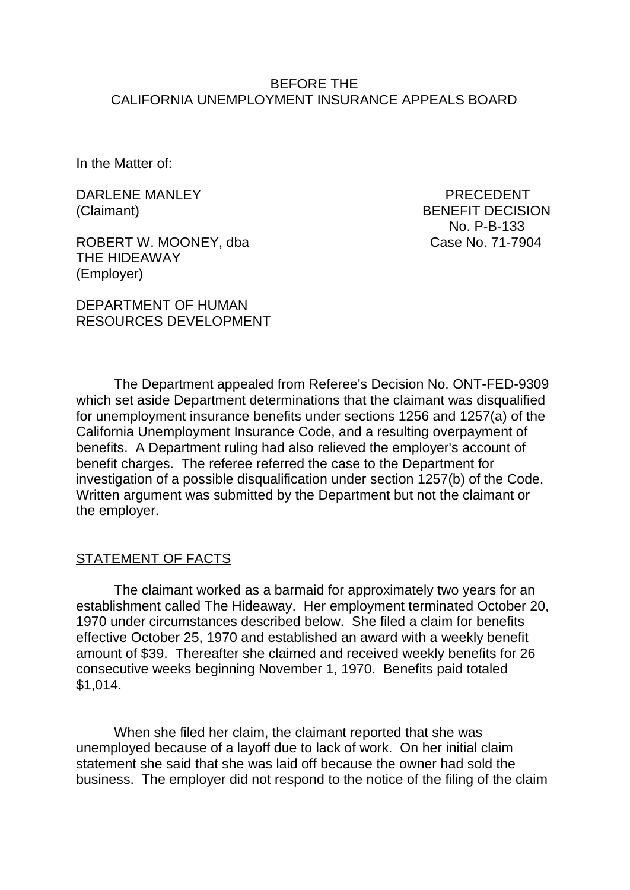## BEFORE THE CALIFORNIA UNEMPLOYMENT INSURANCE APPEALS BOARD

In the Matter of:

DARLENE MANLEY PRECEDENT

ROBERT W. MOONEY, dba Case No. 71-7904 THE HIDEAWAY (Employer)

DEPARTMENT OF HUMAN RESOURCES DEVELOPMENT

(Claimant) BENEFIT DECISION No. P-B-133

The Department appealed from Referee's Decision No. ONT-FED-9309 which set aside Department determinations that the claimant was disqualified for unemployment insurance benefits under sections 1256 and 1257(a) of the California Unemployment Insurance Code, and a resulting overpayment of benefits. A Department ruling had also relieved the employer's account of benefit charges. The referee referred the case to the Department for investigation of a possible disqualification under section 1257(b) of the Code. Written argument was submitted by the Department but not the claimant or the employer.

## STATEMENT OF FACTS

The claimant worked as a barmaid for approximately two years for an establishment called The Hideaway. Her employment terminated October 20, 1970 under circumstances described below. She filed a claim for benefits effective October 25, 1970 and established an award with a weekly benefit amount of \$39. Thereafter she claimed and received weekly benefits for 26 consecutive weeks beginning November 1, 1970. Benefits paid totaled \$1,014.

When she filed her claim, the claimant reported that she was unemployed because of a layoff due to lack of work. On her initial claim statement she said that she was laid off because the owner had sold the business. The employer did not respond to the notice of the filing of the claim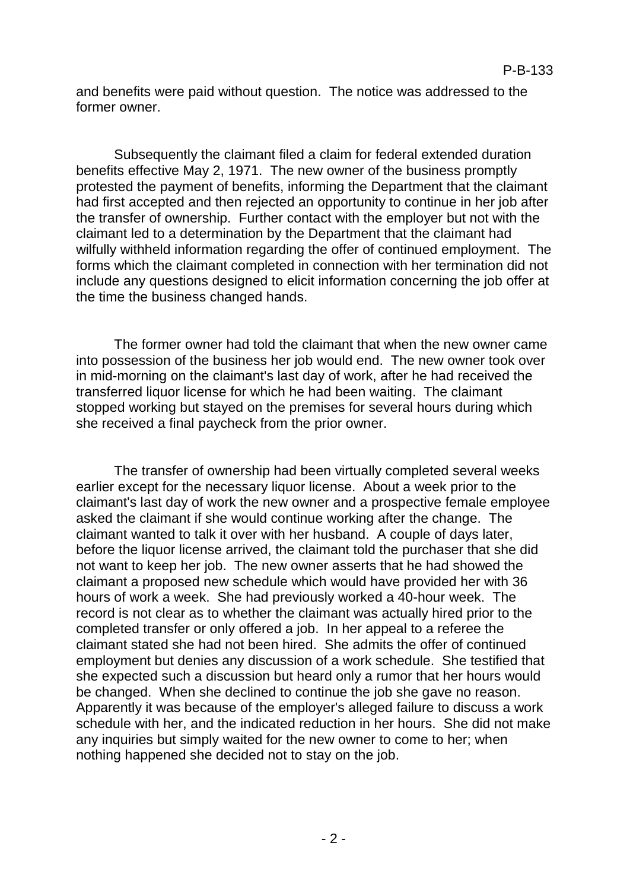and benefits were paid without question. The notice was addressed to the former owner.

Subsequently the claimant filed a claim for federal extended duration benefits effective May 2, 1971. The new owner of the business promptly protested the payment of benefits, informing the Department that the claimant had first accepted and then rejected an opportunity to continue in her job after the transfer of ownership. Further contact with the employer but not with the claimant led to a determination by the Department that the claimant had wilfully withheld information regarding the offer of continued employment. The forms which the claimant completed in connection with her termination did not include any questions designed to elicit information concerning the job offer at the time the business changed hands.

The former owner had told the claimant that when the new owner came into possession of the business her job would end. The new owner took over in mid-morning on the claimant's last day of work, after he had received the transferred liquor license for which he had been waiting. The claimant stopped working but stayed on the premises for several hours during which she received a final paycheck from the prior owner.

The transfer of ownership had been virtually completed several weeks earlier except for the necessary liquor license. About a week prior to the claimant's last day of work the new owner and a prospective female employee asked the claimant if she would continue working after the change. The claimant wanted to talk it over with her husband. A couple of days later, before the liquor license arrived, the claimant told the purchaser that she did not want to keep her job. The new owner asserts that he had showed the claimant a proposed new schedule which would have provided her with 36 hours of work a week. She had previously worked a 40-hour week. The record is not clear as to whether the claimant was actually hired prior to the completed transfer or only offered a job. In her appeal to a referee the claimant stated she had not been hired. She admits the offer of continued employment but denies any discussion of a work schedule. She testified that she expected such a discussion but heard only a rumor that her hours would be changed. When she declined to continue the job she gave no reason. Apparently it was because of the employer's alleged failure to discuss a work schedule with her, and the indicated reduction in her hours. She did not make any inquiries but simply waited for the new owner to come to her; when nothing happened she decided not to stay on the job.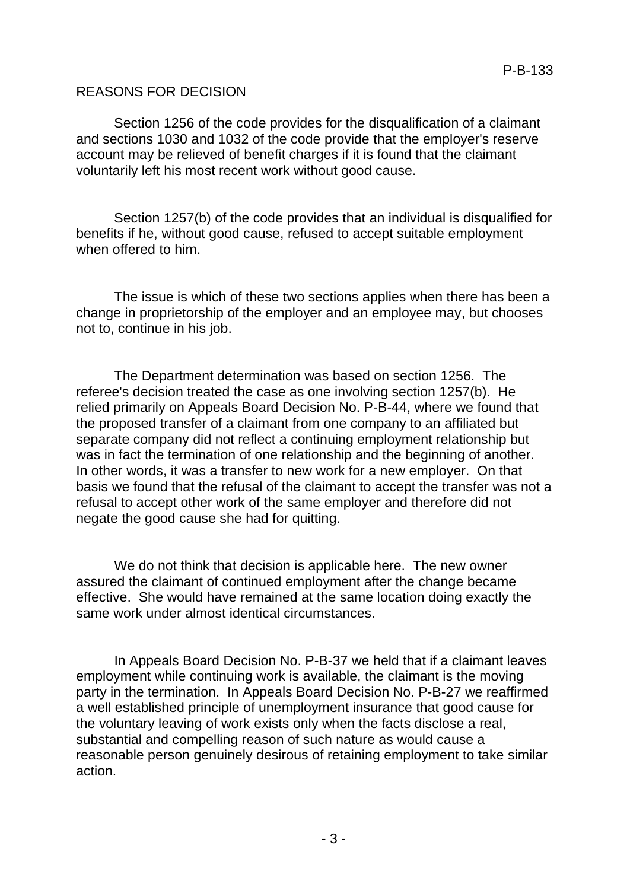# REASONS FOR DECISION

Section 1256 of the code provides for the disqualification of a claimant and sections 1030 and 1032 of the code provide that the employer's reserve account may be relieved of benefit charges if it is found that the claimant voluntarily left his most recent work without good cause.

Section 1257(b) of the code provides that an individual is disqualified for benefits if he, without good cause, refused to accept suitable employment when offered to him.

The issue is which of these two sections applies when there has been a change in proprietorship of the employer and an employee may, but chooses not to, continue in his job.

The Department determination was based on section 1256. The referee's decision treated the case as one involving section 1257(b). He relied primarily on Appeals Board Decision No. P-B-44, where we found that the proposed transfer of a claimant from one company to an affiliated but separate company did not reflect a continuing employment relationship but was in fact the termination of one relationship and the beginning of another. In other words, it was a transfer to new work for a new employer. On that basis we found that the refusal of the claimant to accept the transfer was not a refusal to accept other work of the same employer and therefore did not negate the good cause she had for quitting.

We do not think that decision is applicable here. The new owner assured the claimant of continued employment after the change became effective. She would have remained at the same location doing exactly the same work under almost identical circumstances.

In Appeals Board Decision No. P-B-37 we held that if a claimant leaves employment while continuing work is available, the claimant is the moving party in the termination. In Appeals Board Decision No. P-B-27 we reaffirmed a well established principle of unemployment insurance that good cause for the voluntary leaving of work exists only when the facts disclose a real, substantial and compelling reason of such nature as would cause a reasonable person genuinely desirous of retaining employment to take similar action.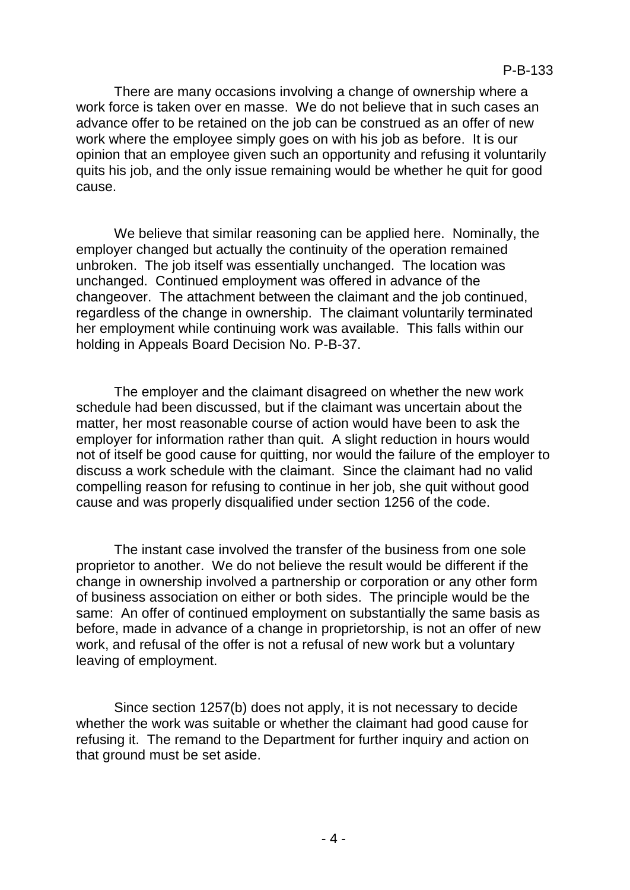There are many occasions involving a change of ownership where a work force is taken over en masse. We do not believe that in such cases an advance offer to be retained on the job can be construed as an offer of new work where the employee simply goes on with his job as before. It is our opinion that an employee given such an opportunity and refusing it voluntarily quits his job, and the only issue remaining would be whether he quit for good cause.

We believe that similar reasoning can be applied here. Nominally, the employer changed but actually the continuity of the operation remained unbroken. The job itself was essentially unchanged. The location was unchanged. Continued employment was offered in advance of the changeover. The attachment between the claimant and the job continued, regardless of the change in ownership. The claimant voluntarily terminated her employment while continuing work was available. This falls within our holding in Appeals Board Decision No. P-B-37.

The employer and the claimant disagreed on whether the new work schedule had been discussed, but if the claimant was uncertain about the matter, her most reasonable course of action would have been to ask the employer for information rather than quit. A slight reduction in hours would not of itself be good cause for quitting, nor would the failure of the employer to discuss a work schedule with the claimant. Since the claimant had no valid compelling reason for refusing to continue in her job, she quit without good cause and was properly disqualified under section 1256 of the code.

The instant case involved the transfer of the business from one sole proprietor to another. We do not believe the result would be different if the change in ownership involved a partnership or corporation or any other form of business association on either or both sides. The principle would be the same: An offer of continued employment on substantially the same basis as before, made in advance of a change in proprietorship, is not an offer of new work, and refusal of the offer is not a refusal of new work but a voluntary leaving of employment.

Since section 1257(b) does not apply, it is not necessary to decide whether the work was suitable or whether the claimant had good cause for refusing it. The remand to the Department for further inquiry and action on that ground must be set aside.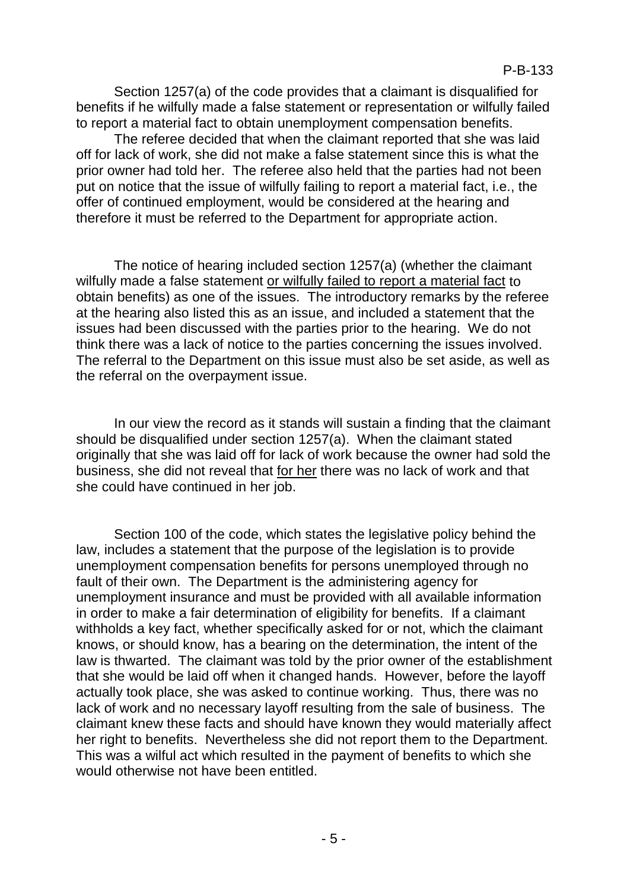Section 1257(a) of the code provides that a claimant is disqualified for benefits if he wilfully made a false statement or representation or wilfully failed to report a material fact to obtain unemployment compensation benefits.

The referee decided that when the claimant reported that she was laid off for lack of work, she did not make a false statement since this is what the prior owner had told her. The referee also held that the parties had not been put on notice that the issue of wilfully failing to report a material fact, i.e., the offer of continued employment, would be considered at the hearing and therefore it must be referred to the Department for appropriate action.

The notice of hearing included section 1257(a) (whether the claimant wilfully made a false statement or wilfully failed to report a material fact to obtain benefits) as one of the issues. The introductory remarks by the referee at the hearing also listed this as an issue, and included a statement that the issues had been discussed with the parties prior to the hearing. We do not think there was a lack of notice to the parties concerning the issues involved. The referral to the Department on this issue must also be set aside, as well as the referral on the overpayment issue.

In our view the record as it stands will sustain a finding that the claimant should be disqualified under section 1257(a). When the claimant stated originally that she was laid off for lack of work because the owner had sold the business, she did not reveal that for her there was no lack of work and that she could have continued in her job.

Section 100 of the code, which states the legislative policy behind the law, includes a statement that the purpose of the legislation is to provide unemployment compensation benefits for persons unemployed through no fault of their own. The Department is the administering agency for unemployment insurance and must be provided with all available information in order to make a fair determination of eligibility for benefits. If a claimant withholds a key fact, whether specifically asked for or not, which the claimant knows, or should know, has a bearing on the determination, the intent of the law is thwarted. The claimant was told by the prior owner of the establishment that she would be laid off when it changed hands. However, before the layoff actually took place, she was asked to continue working. Thus, there was no lack of work and no necessary layoff resulting from the sale of business. The claimant knew these facts and should have known they would materially affect her right to benefits. Nevertheless she did not report them to the Department. This was a wilful act which resulted in the payment of benefits to which she would otherwise not have been entitled.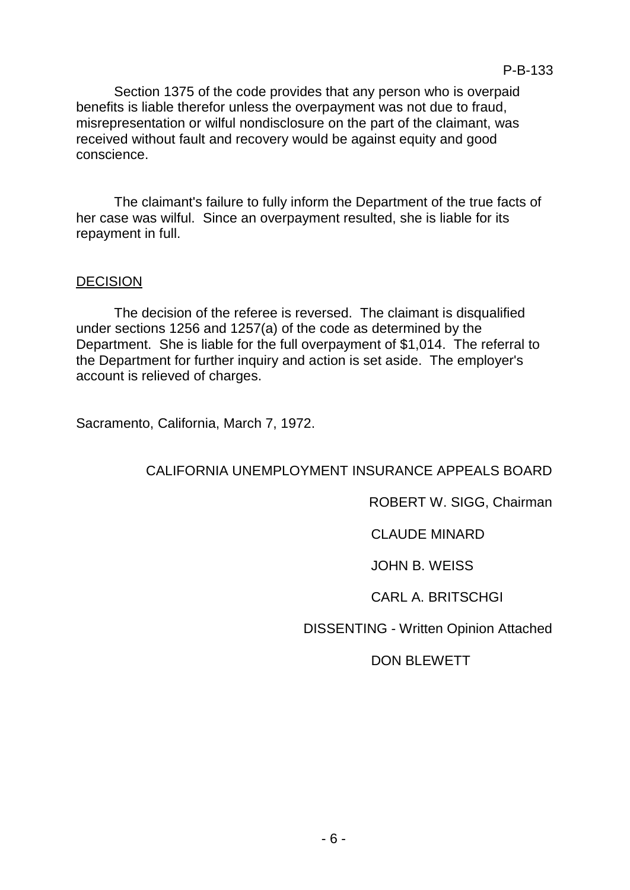Section 1375 of the code provides that any person who is overpaid benefits is liable therefor unless the overpayment was not due to fraud, misrepresentation or wilful nondisclosure on the part of the claimant, was received without fault and recovery would be against equity and good conscience.

The claimant's failure to fully inform the Department of the true facts of her case was wilful. Since an overpayment resulted, she is liable for its repayment in full.

#### **DECISION**

The decision of the referee is reversed. The claimant is disqualified under sections 1256 and 1257(a) of the code as determined by the Department. She is liable for the full overpayment of \$1,014. The referral to the Department for further inquiry and action is set aside. The employer's account is relieved of charges.

Sacramento, California, March 7, 1972.

## CALIFORNIA UNEMPLOYMENT INSURANCE APPEALS BOARD

## ROBERT W. SIGG, Chairman

## CLAUDE MINARD

#### JOHN B. WEISS

## CARL A. BRITSCHGI

## DISSENTING - Written Opinion Attached

## DON BLEWETT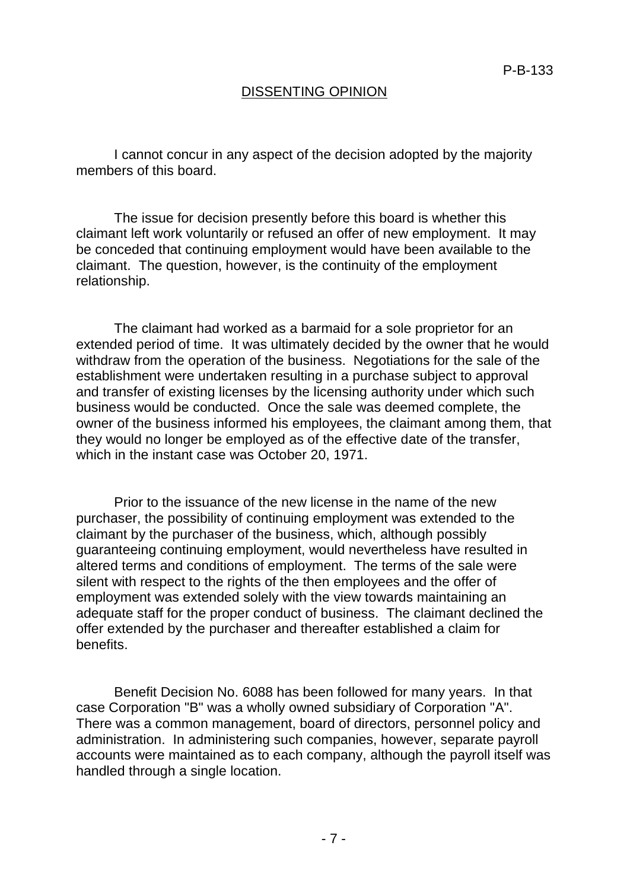## DISSENTING OPINION

I cannot concur in any aspect of the decision adopted by the majority members of this board.

The issue for decision presently before this board is whether this claimant left work voluntarily or refused an offer of new employment. It may be conceded that continuing employment would have been available to the claimant. The question, however, is the continuity of the employment relationship.

The claimant had worked as a barmaid for a sole proprietor for an extended period of time. It was ultimately decided by the owner that he would withdraw from the operation of the business. Negotiations for the sale of the establishment were undertaken resulting in a purchase subject to approval and transfer of existing licenses by the licensing authority under which such business would be conducted. Once the sale was deemed complete, the owner of the business informed his employees, the claimant among them, that they would no longer be employed as of the effective date of the transfer, which in the instant case was October 20, 1971.

Prior to the issuance of the new license in the name of the new purchaser, the possibility of continuing employment was extended to the claimant by the purchaser of the business, which, although possibly guaranteeing continuing employment, would nevertheless have resulted in altered terms and conditions of employment. The terms of the sale were silent with respect to the rights of the then employees and the offer of employment was extended solely with the view towards maintaining an adequate staff for the proper conduct of business. The claimant declined the offer extended by the purchaser and thereafter established a claim for benefits.

Benefit Decision No. 6088 has been followed for many years. In that case Corporation "B" was a wholly owned subsidiary of Corporation "A". There was a common management, board of directors, personnel policy and administration. In administering such companies, however, separate payroll accounts were maintained as to each company, although the payroll itself was handled through a single location.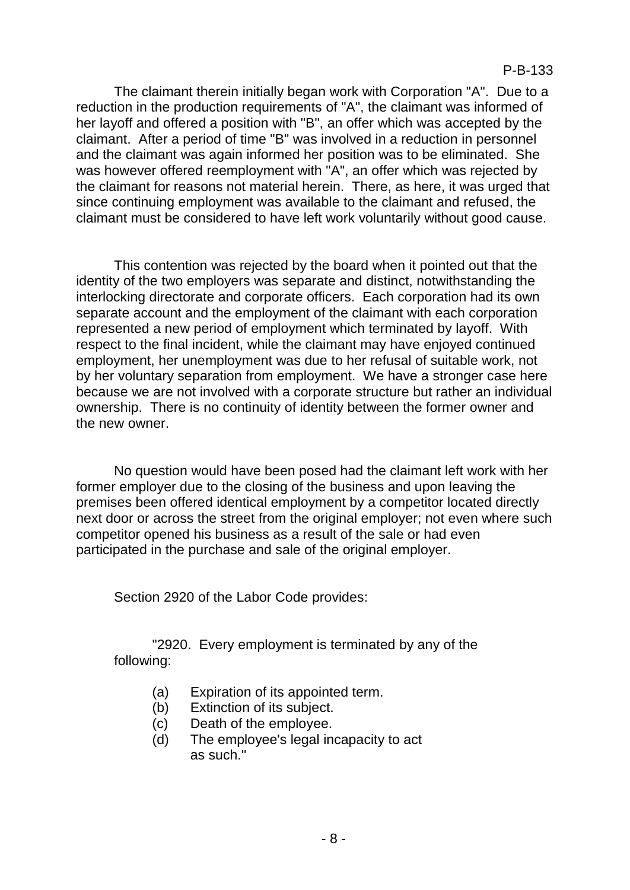The claimant therein initially began work with Corporation "A". Due to a reduction in the production requirements of "A", the claimant was informed of her layoff and offered a position with "B", an offer which was accepted by the claimant. After a period of time "B" was involved in a reduction in personnel and the claimant was again informed her position was to be eliminated. She was however offered reemployment with "A", an offer which was rejected by the claimant for reasons not material herein. There, as here, it was urged that since continuing employment was available to the claimant and refused, the claimant must be considered to have left work voluntarily without good cause.

This contention was rejected by the board when it pointed out that the identity of the two employers was separate and distinct, notwithstanding the interlocking directorate and corporate officers. Each corporation had its own separate account and the employment of the claimant with each corporation represented a new period of employment which terminated by layoff. With respect to the final incident, while the claimant may have enjoyed continued employment, her unemployment was due to her refusal of suitable work, not by her voluntary separation from employment. We have a stronger case here because we are not involved with a corporate structure but rather an individual ownership. There is no continuity of identity between the former owner and the new owner.

No question would have been posed had the claimant left work with her former employer due to the closing of the business and upon leaving the premises been offered identical employment by a competitor located directly next door or across the street from the original employer; not even where such competitor opened his business as a result of the sale or had even participated in the purchase and sale of the original employer.

Section 2920 of the Labor Code provides:

"2920. Every employment is terminated by any of the following:

- (a) Expiration of its appointed term.
- (b) Extinction of its subject.
- (c) Death of the employee.
- (d) The employee's legal incapacity to act as such."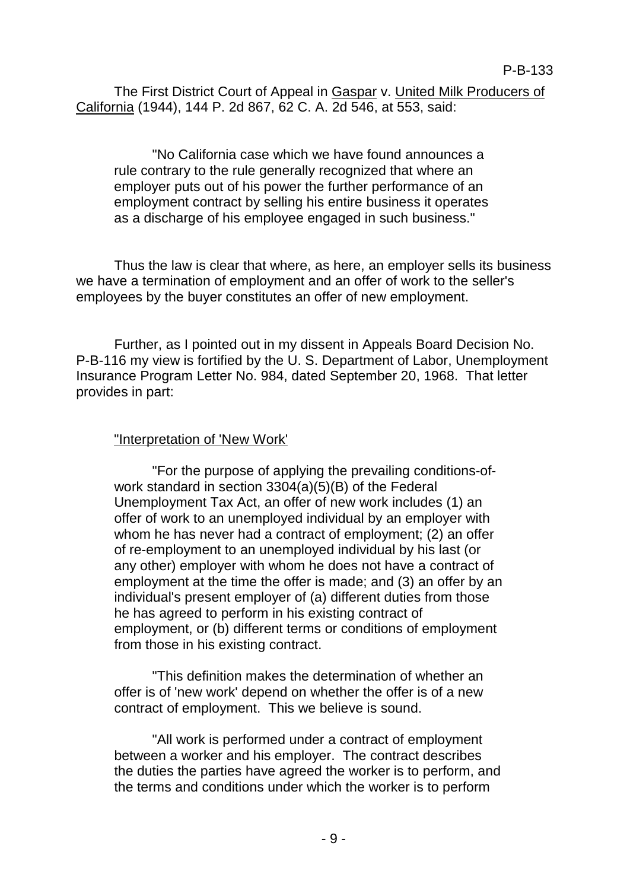The First District Court of Appeal in Gaspar v. United Milk Producers of California (1944), 144 P. 2d 867, 62 C. A. 2d 546, at 553, said:

"No California case which we have found announces a rule contrary to the rule generally recognized that where an employer puts out of his power the further performance of an employment contract by selling his entire business it operates as a discharge of his employee engaged in such business."

Thus the law is clear that where, as here, an employer sells its business we have a termination of employment and an offer of work to the seller's employees by the buyer constitutes an offer of new employment.

Further, as I pointed out in my dissent in Appeals Board Decision No. P-B-116 my view is fortified by the U. S. Department of Labor, Unemployment Insurance Program Letter No. 984, dated September 20, 1968. That letter provides in part:

## "Interpretation of 'New Work'

"For the purpose of applying the prevailing conditions-ofwork standard in section 3304(a)(5)(B) of the Federal Unemployment Tax Act, an offer of new work includes (1) an offer of work to an unemployed individual by an employer with whom he has never had a contract of employment; (2) an offer of re-employment to an unemployed individual by his last (or any other) employer with whom he does not have a contract of employment at the time the offer is made; and (3) an offer by an individual's present employer of (a) different duties from those he has agreed to perform in his existing contract of employment, or (b) different terms or conditions of employment from those in his existing contract.

"This definition makes the determination of whether an offer is of 'new work' depend on whether the offer is of a new contract of employment. This we believe is sound.

"All work is performed under a contract of employment between a worker and his employer. The contract describes the duties the parties have agreed the worker is to perform, and the terms and conditions under which the worker is to perform